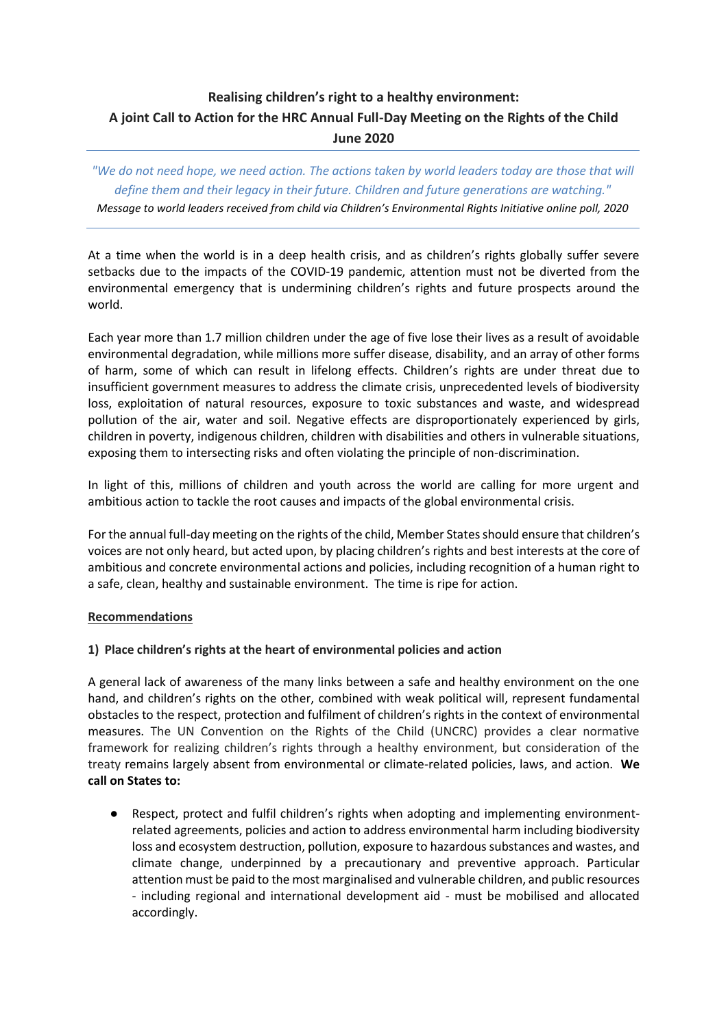# **Realising children's right to a healthy environment: A joint Call to Action for the HRC Annual Full-Day Meeting on the Rights of the Child June 2020**

## *"We do not need hope, we need action. The actions taken by world leaders today are those that will define them and their legacy in their future. Children and future generations are watching." Message to world leaders received from child via Children's Environmental Rights Initiative online poll, 2020*

At a time when the world is in a deep health crisis, and as children's rights globally suffer severe setbacks due to the impacts of the COVID-19 pandemic, attention must not be diverted from the environmental emergency that is undermining children's rights and future prospects around the world.

Each year more than 1.7 million children under the age of five lose their lives as a result of avoidable environmental degradation, while millions more suffer disease, disability, and an array of other forms of harm, some of which can result in lifelong effects. Children's rights are under threat due to insufficient government measures to address the climate crisis, unprecedented levels of biodiversity loss, exploitation of natural resources, exposure to toxic substances and waste, and widespread pollution of the air, water and soil. Negative effects are disproportionately experienced by girls, children in poverty, indigenous children, children with disabilities and others in vulnerable situations, exposing them to intersecting risks and often violating the principle of non-discrimination.

In light of this, millions of children and youth across the world are calling for more urgent and ambitious action to tackle the root causes and impacts of the global environmental crisis.

For the annual full-day meeting on the rights of the child, Member States should ensure that children's voices are not only heard, but acted upon, by placing children's rights and best interests at the core of ambitious and concrete environmental actions and policies, including recognition of a human right to a safe, clean, healthy and sustainable environment. The time is ripe for action.

#### **Recommendations**

#### **1) Place children's rights at the heart of environmental policies and action**

A general lack of awareness of the many links between a safe and healthy environment on the one hand, and children's rights on the other, combined with weak political will, represent fundamental obstacles to the respect, protection and fulfilment of children's rights in the context of environmental measures. The UN Convention on the Rights of the Child (UNCRC) provides a clear normative framework for realizing children's rights through a healthy environment, but consideration of the treaty remains largely absent from environmental or climate-related policies, laws, and action. **We call on States to:**

● Respect, protect and fulfil children's rights when adopting and implementing environmentrelated agreements, policies and action to address environmental harm including biodiversity loss and ecosystem destruction, pollution, exposure to hazardous substances and wastes, and climate change, underpinned by a precautionary and preventive approach. Particular attention must be paid to the most marginalised and vulnerable children, and public resources - including regional and international development aid - must be mobilised and allocated accordingly.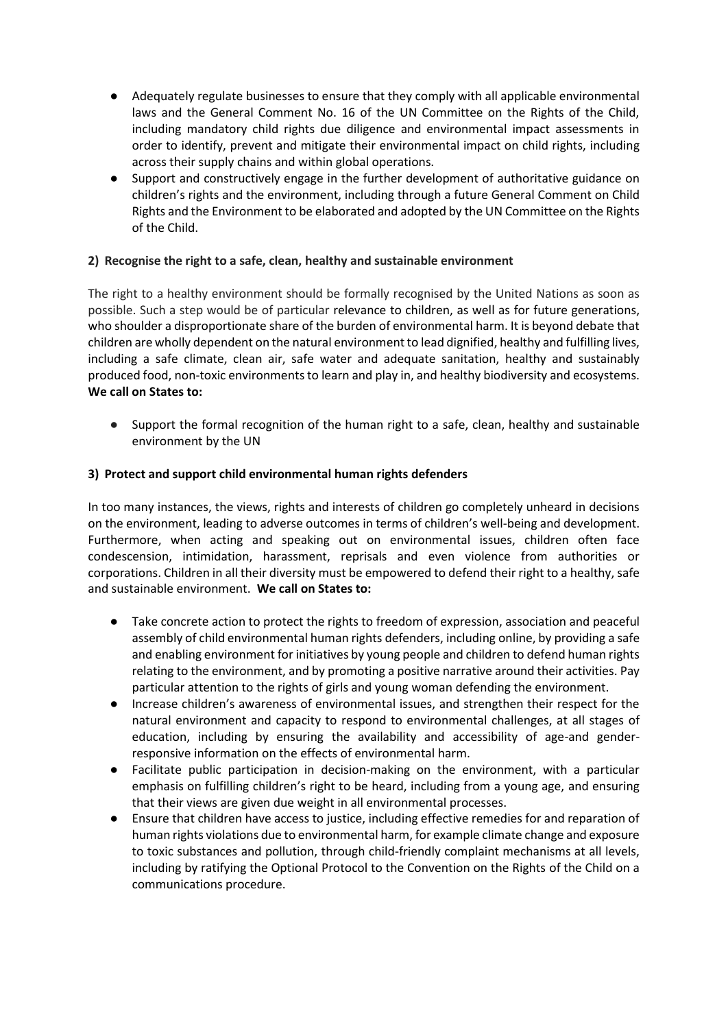- Adequately regulate businesses to ensure that they comply with all applicable environmental laws and the General Comment No. 16 of the UN Committee on the Rights of the Child, including mandatory child rights due diligence and environmental impact assessments in order to identify, prevent and mitigate their environmental impact on child rights, including across their supply chains and within global operations.
- Support and constructively engage in the further development of authoritative guidance on children's rights and the environment, including through a future General Comment on Child Rights and the Environment to be elaborated and adopted by the UN Committee on the Rights of the Child.

#### **2) Recognise the right to a safe, clean, healthy and sustainable environment**

The right to a healthy environment should be formally recognised by the United Nations as soon as possible. Such a step would be of particular relevance to children, as well as for future generations, who shoulder a disproportionate share of the burden of environmental harm. It is beyond debate that children are wholly dependent on the natural environment to lead dignified, healthy and fulfilling lives, including a safe climate, clean air, safe water and adequate sanitation, healthy and sustainably produced food, non-toxic environmentsto learn and play in, and healthy biodiversity and ecosystems. **We call on States to:**

Support the formal recognition of the human right to a safe, clean, healthy and sustainable environment by the UN

#### **3) Protect and support child environmental human rights defenders**

In too many instances, the views, rights and interests of children go completely unheard in decisions on the environment, leading to adverse outcomes in terms of children's well-being and development. Furthermore, when acting and speaking out on environmental issues, children often face condescension, intimidation, harassment, reprisals and even violence from authorities or corporations. Children in all their diversity must be empowered to defend their right to a healthy, safe and sustainable environment. **We call on States to:**

- Take concrete action to protect the rights to freedom of expression, association and peaceful assembly of child environmental human rights defenders, including online, by providing a safe and enabling environment for initiatives by young people and children to defend human rights relating to the environment, and by promoting a positive narrative around their activities. Pay particular attention to the rights of girls and young woman defending the environment.
- Increase children's awareness of environmental issues, and strengthen their respect for the natural environment and capacity to respond to environmental challenges, at all stages of education, including by ensuring the availability and accessibility of age-and genderresponsive information on the effects of environmental harm.
- Facilitate public participation in decision-making on the environment, with a particular emphasis on fulfilling children's right to be heard, including from a young age, and ensuring that their views are given due weight in all environmental processes.
- Ensure that children have access to justice, including effective remedies for and reparation of human rights violations due to environmental harm, for example climate change and exposure to toxic substances and pollution, through child-friendly complaint mechanisms at all levels, including by ratifying the Optional Protocol to the Convention on the Rights of the Child on a communications procedure.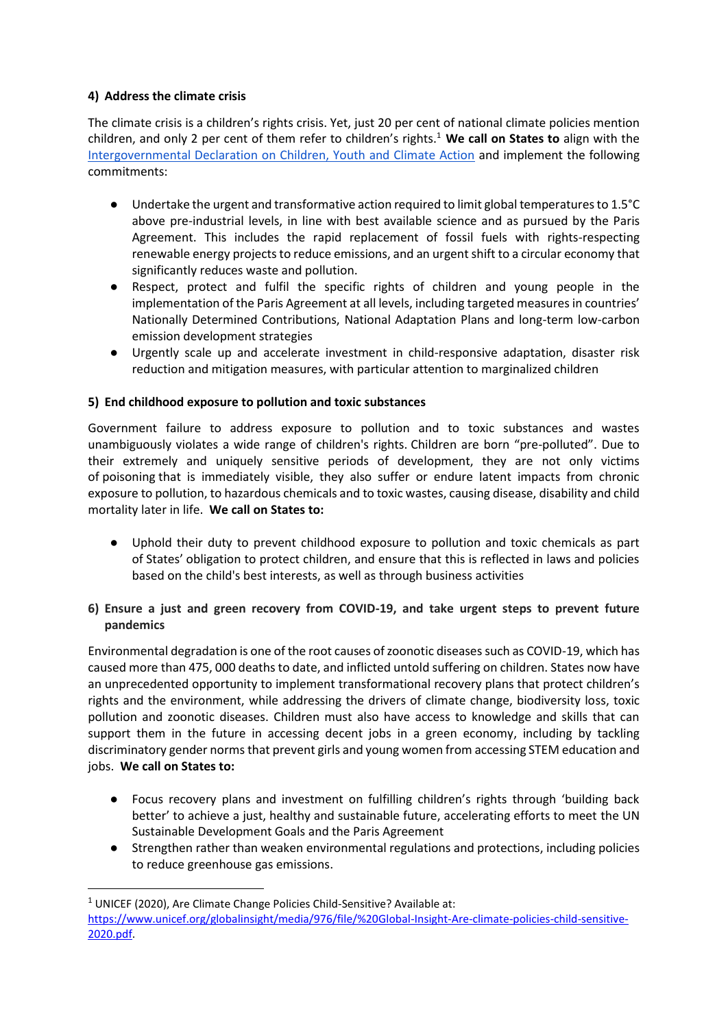### **4) Address the climate crisis**

The climate crisis is a children's rights crisis. Yet, just 20 per cent of national climate policies mention children, and only 2 per cent of them refer to children's rights.<sup>1</sup> **We call on States to** align with the [Intergovernmental Declaration on Children, Youth and Climate Action](https://www.childrenvironment.org/declaration-children-youth-climate-action) and implement the following commitments:

- Undertake the urgent and transformative action required to limit global temperatures to 1.5°C above pre-industrial levels, in line with best available science and as pursued by the Paris Agreement. This includes the rapid replacement of fossil fuels with rights-respecting renewable energy projects to reduce emissions, and an urgent shift to a circular economy that significantly reduces waste and pollution.
- Respect, protect and fulfil the specific rights of children and young people in the implementation of the Paris Agreement at all levels, including targeted measures in countries' Nationally Determined Contributions, National Adaptation Plans and long-term low-carbon emission development strategies
- Urgently scale up and accelerate investment in child-responsive adaptation, disaster risk reduction and mitigation measures, with particular attention to marginalized children

## **5) End childhood exposure to pollution and toxic substances**

Government failure to address exposure to pollution and to toxic substances and wastes unambiguously violates a wide range of children's rights. Children are born "pre-polluted". Due to their extremely and uniquely sensitive periods of development, they are not only victims of poisoning that is immediately visible, they also suffer or endure latent impacts from chronic exposure to pollution, to hazardous chemicals and to toxic wastes, causing disease, disability and child mortality later in life. **We call on States to:**

● Uphold their duty to prevent childhood exposure to pollution and toxic chemicals as part of States' obligation to protect children, and ensure that this is reflected in laws and policies based on the child's best interests, as well as through business activities

#### **6) Ensure a just and green recovery from COVID-19, and take urgent steps to prevent future pandemics**

Environmental degradation is one of the root causes of zoonotic diseases such as COVID-19, which has caused more than 475, 000 deaths to date, and inflicted untold suffering on children. States now have an unprecedented opportunity to implement transformational recovery plans that protect children's rights and the environment, while addressing the drivers of climate change, biodiversity loss, toxic pollution and zoonotic diseases. Children must also have access to knowledge and skills that can support them in the future in accessing decent jobs in a green economy, including by tackling discriminatory gender norms that prevent girls and young women from accessing STEM education and jobs. **We call on States to:**

- Focus recovery plans and investment on fulfilling children's rights through 'building back better' to achieve a just, healthy and sustainable future, accelerating efforts to meet the UN Sustainable Development Goals and the Paris Agreement
- Strengthen rather than weaken environmental regulations and protections, including policies to reduce greenhouse gas emissions.

<sup>&</sup>lt;sup>1</sup> UNICEF (2020), Are Climate Change Policies Child-Sensitive? Available at:

[https://www.unicef.org/globalinsight/media/976/file/%20Global-Insight-Are-climate-policies-child-sensitive-](https://www.unicef.org/globalinsight/media/976/file/%20Global-Insight-Are-climate-policies-child-sensitive-2020.pdf)[2020.pdf.](https://www.unicef.org/globalinsight/media/976/file/%20Global-Insight-Are-climate-policies-child-sensitive-2020.pdf)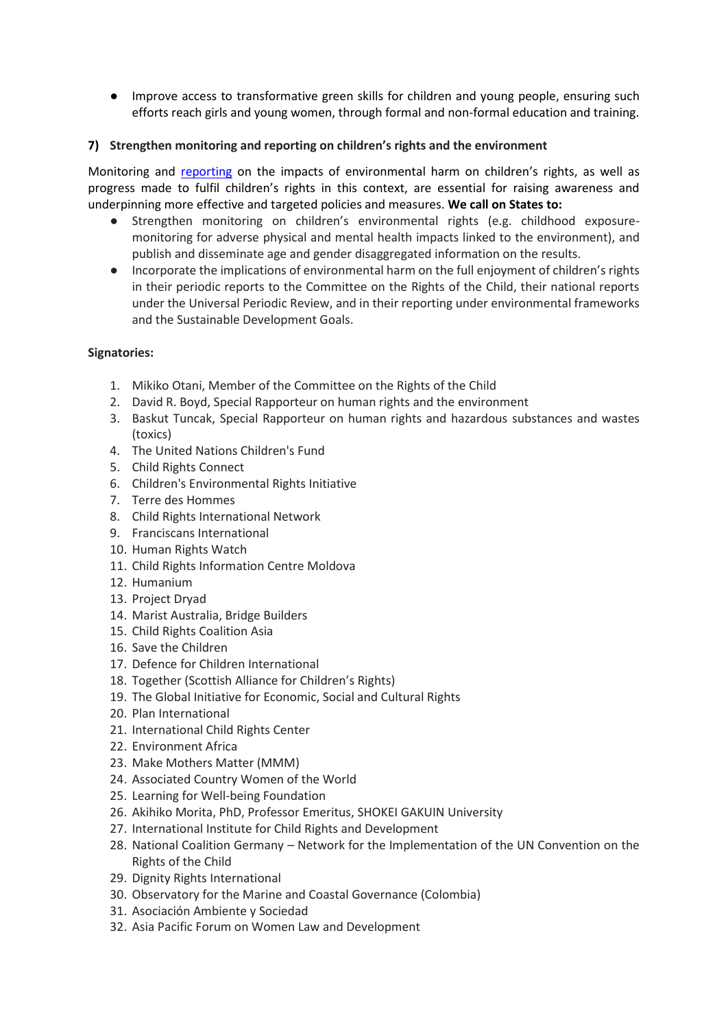● Improve access to transformative green skills for children and young people, ensuring such efforts reach girls and young women, through formal and non-formal education and training.

#### **7) Strengthen monitoring and reporting on children's rights and the environment**

Monitoring and [reporting](https://static1.squarespace.com/static/5dca1afe13943a33f7cc7570/t/5ef9bd6bf6302b5d710470f1/1593425291598/Guidance_On_Reporting_To_The_Committee_On_The_Rights_Of_The_Child-FINAL.pdf) on the impacts of environmental harm on children's rights, as well as progress made to fulfil children's rights in this context, are essential for raising awareness and underpinning more effective and targeted policies and measures. **We call on States to:**

- Strengthen monitoring on children's environmental rights (e.g. childhood exposuremonitoring for adverse physical and mental health impacts linked to the environment), and publish and disseminate age and gender disaggregated information on the results.
- Incorporate the implications of environmental harm on the full enjoyment of children's rights in their periodic reports to the Committee on the Rights of the Child, their national reports under the Universal Periodic Review, and in their reporting under environmental frameworks and the Sustainable Development Goals.

#### **Signatories:**

- 1. Mikiko Otani, Member of the Committee on the Rights of the Child
- 2. David R. Boyd, Special Rapporteur on human rights and the environment
- 3. Baskut Tuncak, Special Rapporteur on human rights and hazardous substances and wastes (toxics)
- 4. The United Nations Children's Fund
- 5. Child Rights Connect
- 6. Children's Environmental Rights Initiative
- 7. Terre des Hommes
- 8. Child Rights International Network
- 9. Franciscans International
- 10. Human Rights Watch
- 11. Child Rights Information Centre Moldova
- 12. Humanium
- 13. Project Dryad
- 14. Marist Australia, Bridge Builders
- 15. Child Rights Coalition Asia
- 16. Save the Children
- 17. Defence for Children International
- 18. Together (Scottish Alliance for Children's Rights)
- 19. The Global Initiative for Economic, Social and Cultural Rights
- 20. Plan International
- 21. International Child Rights Center
- 22. Environment Africa
- 23. Make Mothers Matter (MMM)
- 24. Associated Country Women of the World
- 25. Learning for Well-being Foundation
- 26. Akihiko Morita, PhD, Professor Emeritus, SHOKEI GAKUIN University
- 27. International Institute for Child Rights and Development
- 28. National Coalition Germany Network for the Implementation of the UN Convention on the Rights of the Child
- 29. Dignity Rights International
- 30. Observatory for the Marine and Coastal Governance (Colombia)
- 31. Asociación Ambiente y Sociedad
- 32. Asia Pacific Forum on Women Law and Development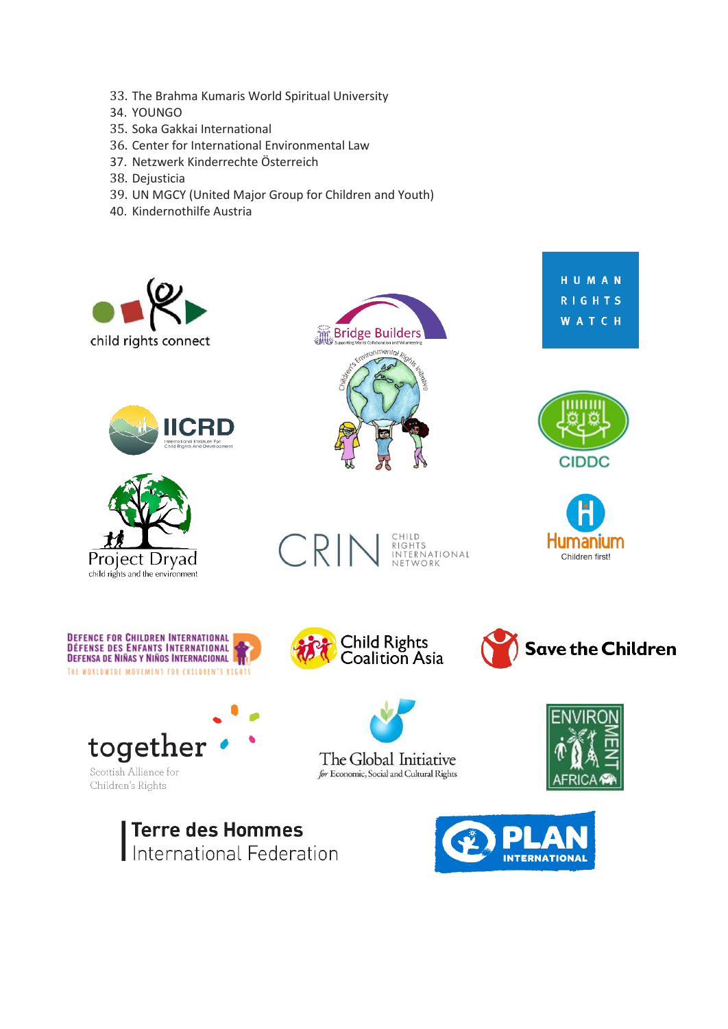- 33. The Brahma Kumaris World Spiritual University
- 34. YOUNGO
- 35. Soka Gakkai International
- 36. Center for International Environmental Law
- 37. Netzwerk Kinderrechte Österreich
- 38. Dejusticia
- 39. UN MGCY (United Major Group for Children and Youth)
- 40. Kindernothilfe Austria





























The Global Initiative for Economic, Social and Cultural Rights



Terre des Hommes International Federation